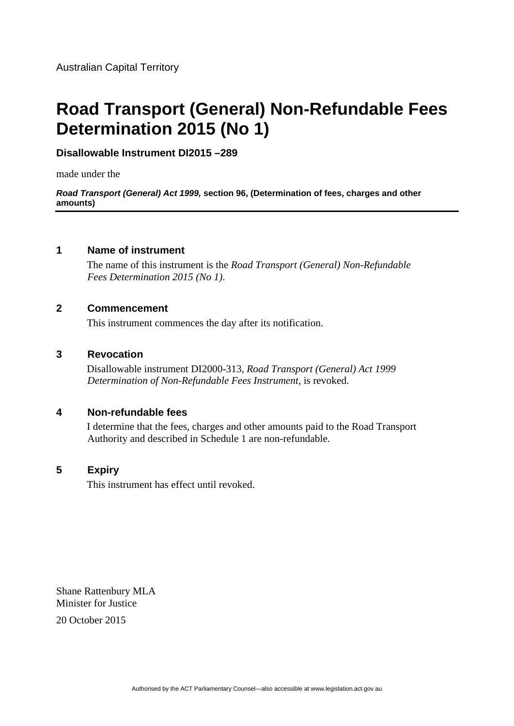# **Road Transport (General) Non-Refundable Fees Determination 2015 (No 1)**

## **Disallowable Instrument DI2015 –289**

made under the

*Road Transport (General) Act 1999,* **section 96, (Determination of fees, charges and other amounts)** 

## **1 Name of instrument**

The name of this instrument is the *Road Transport (General) Non-Refundable Fees Determination 2015 (No 1)*.

#### **2 Commencement**

This instrument commences the day after its notification.

#### **3 Revocation**

Disallowable instrument DI2000-313, *Road Transport (General) Act 1999 Determination of Non-Refundable Fees Instrument*, is revoked.

#### **4 Non-refundable fees**

I determine that the fees, charges and other amounts paid to the Road Transport Authority and described in Schedule 1 are non-refundable.

#### **5 Expiry**

This instrument has effect until revoked.

Shane Rattenbury MLA Minister for Justice

20 October 2015